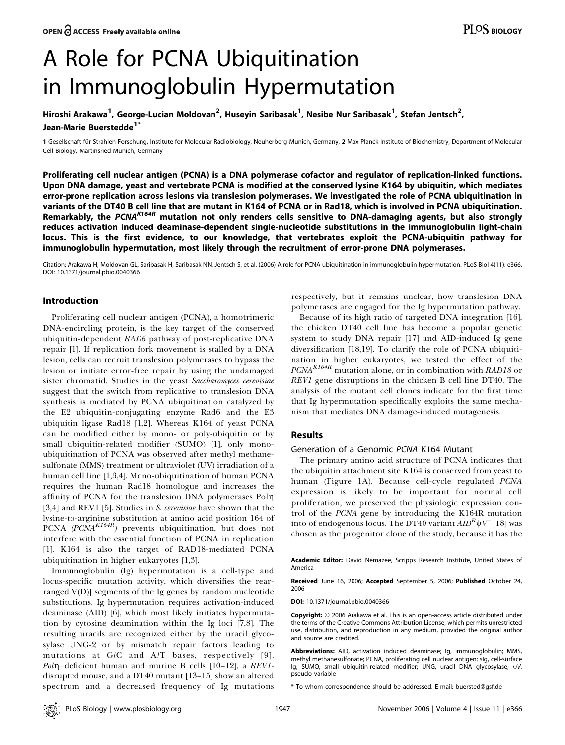# A Role for PCNA Ubiquitination in Immunoglobulin Hypermutation

# Hiroshi Arakawa<sup>1</sup>, George-Lucian Moldovan<sup>2</sup>, Huseyin Saribasak<sup>1</sup>, Nesibe Nur Saribasak<sup>1</sup>, Stefan Jentsch<sup>2</sup>, Jean-Marie Buerstedde<sup>17</sup>

1 Gesellschaft für Strahlen Forschung, Institute for Molecular Radiobiology, Neuherberg-Munich, Germany, 2 Max Planck Institute of Biochemistry, Department of Molecular Cell Biology, Martinsried-Munich, Germany

Proliferating cell nuclear antigen (PCNA) is a DNA polymerase cofactor and regulator of replication-linked functions. Upon DNA damage, yeast and vertebrate PCNA is modified at the conserved lysine K164 by ubiquitin, which mediates error-prone replication across lesions via translesion polymerases. We investigated the role of PCNA ubiquitination in variants of the DT40 B cell line that are mutant in K164 of PCNA or in Rad18, which is involved in PCNA ubiquitination. Remarkably, the PCNA<sup>K164R</sup> mutation not only renders cells sensitive to DNA-damaging agents, but also strongly reduces activation induced deaminase-dependent single-nucleotide substitutions in the immunoglobulin light-chain locus. This is the first evidence, to our knowledge, that vertebrates exploit the PCNA-ubiquitin pathway for immunoglobulin hypermutation, most likely through the recruitment of error-prone DNA polymerases.

Citation: Arakawa H, Moldovan GL, Saribasak H, Saribasak NN, Jentsch S, et al. (2006) A role for PCNA ubiquitination in immunoglobulin hypermutation. PLoS Biol 4(11): e366. DOI: 10.1371/journal.pbio.0040366

# Introduction

Proliferating cell nuclear antigen (PCNA), a homotrimeric DNA-encircling protein, is the key target of the conserved ubiquitin-dependent RAD6 pathway of post-replicative DNA repair [1]. If replication fork movement is stalled by a DNA lesion, cells can recruit translesion polymerases to bypass the lesion or initiate error-free repair by using the undamaged sister chromatid. Studies in the yeast Saccharomyces cerevisiae suggest that the switch from replicative to translesion DNA synthesis is mediated by PCNA ubiquitination catalyzed by the E2 ubiquitin-conjugating enzyme Rad6 and the E3 ubiquitin ligase Rad18 [1,2]. Whereas K164 of yeast PCNA can be modified either by mono- or poly-ubiquitin or by small ubiquitin-related modifier (SUMO) [1], only monoubiquitination of PCNA was observed after methyl methanesulfonate (MMS) treatment or ultraviolet (UV) irradiation of a human cell line [1,3,4]. Mono-ubiquitination of human PCNA requires the human Rad18 homologue and increases the affinity of PCNA for the translesion DNA polymerases Pol $\eta$ [3,4] and REV1 [5]. Studies in S. cerevisiae have shown that the lysine-to-arginine substitution at amino acid position 164 of PCNA  $(PCNA^{K164R})$  prevents ubiquitination, but does not interfere with the essential function of PCNA in replication [1]. K164 is also the target of RAD18-mediated PCNA ubiquitination in higher eukaryotes [1,3].

Immunoglobulin (Ig) hypermutation is a cell-type and locus-specific mutation activity, which diversifies the rearranged V(D)J segments of the Ig genes by random nucleotide substitutions. Ig hypermutation requires activation-induced deaminase (AID) [6], which most likely initiates hypermutation by cytosine deamination within the Ig loci [7,8]. The resulting uracils are recognized either by the uracil glycosylase UNG-2 or by mismatch repair factors leading to mutations at G/C and A/T bases, respectively [9].  $Poln$ -deficient human and murine B cells [10-12], a REV1disrupted mouse, and a DT40 mutant [13–15] show an altered spectrum and a decreased frequency of Ig mutations respectively, but it remains unclear, how translesion DNA polymerases are engaged for the Ig hypermutation pathway.

Because of its high ratio of targeted DNA integration [16], the chicken DT40 cell line has become a popular genetic system to study DNA repair [17] and AID-induced Ig gene diversification [18,19]. To clarify the role of PCNA ubiquitination in higher eukaryotes, we tested the effect of the  $PCNA<sup>K164R</sup>$  mutation alone, or in combination with  $RAD18$  or REV1 gene disruptions in the chicken B cell line DT40. The analysis of the mutant cell clones indicate for the first time that Ig hypermutation specifically exploits the same mechanism that mediates DNA damage-induced mutagenesis.

### Results

### Generation of a Genomic PCNA K164 Mutant

The primary amino acid structure of PCNA indicates that the ubiquitin attachment site K164 is conserved from yeast to human (Figure 1A). Because cell-cycle regulated PCNA expression is likely to be important for normal cell proliferation, we preserved the physiologic expression control of the PCNA gene by introducing the K164R mutation into of endogenous locus. The DT40 variant  $AID^{R}\psi V$  [18] was chosen as the progenitor clone of the study, because it has the

Academic Editor: David Nemazee, Scripps Research Institute, United States of America

Received June 16, 2006; Accepted September 5, 2006; Published October 24, 2006

DOI: 10.1371/journal.pbio.0040366

Copyright: © 2006 Arakawa et al. This is an open-access article distributed under the terms of the Creative Commons Attribution License, which permits unrestricted use, distribution, and reproduction in any medium, provided the original author and source are credited.

Abbreviations: AID, activation induced deaminase; Ig, immunoglobulin; MMS, methyl methanesulfonate; PCNA, proliferating cell nuclear antigen; sIg, cell-surface Ig; SUMO, small ubiquitin-related modifier; UNG, uracil DNA glycosylase;  $\psi V$ , pseudo variable

\* To whom correspondence should be addressed. E-mail: buersted@gsf.de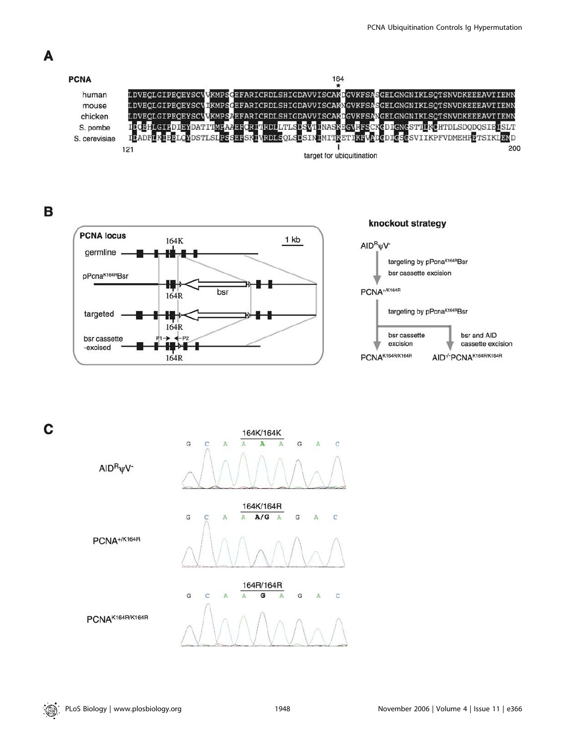



 $\overline{G}$ ċ A G A G

A

 $\overline{c}$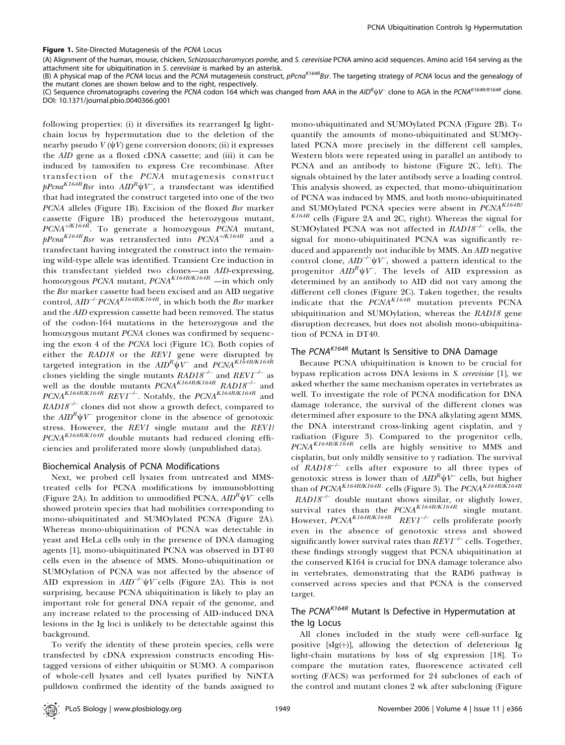Figure 1. Site-Directed Mutagenesis of the PCNA Locus

(A) Alignment of the human, mouse, chicken, Schizosaccharomyces pombe, and S. cerevisiae PCNA amino acid sequences. Amino acid 164 serving as the attachment site for ubiquitination in S. cerevisiae is marked by an asterisk.

(B) A physical map of the PCNA locus and the PCNA mutagenesis construct,  $pPcna<sup>K164R</sup>Br$ . The targeting strategy of PCNA locus and the genealogy of the mutant clones are shown below and to the right, respectively.

(C) Sequence chromatographs covering the PCNA codon 164 which was changed from AAA in the AID<sup>R</sup> $\psi V^-$  clone to AGA in the PCNA<sup>K164R/K164R</sup> clone. DOI: 10.1371/journal.pbio.0040366.g001

following properties: (i) it diversifies its rearranged Ig lightchain locus by hypermutation due to the deletion of the nearby pseudo  $V(\psi V)$  gene conversion donors; (ii) it expresses the AID gene as a floxed cDNA cassette; and (iii) it can be induced by tamoxifen to express Cre recombinase. After transfection of the PCNA mutagenesis construct  $pPcna^{K164R}Bsr$  into  $AID^R\psi V$ , a transfectant was identified that had integrated the construct targeted into one of the two PCNA alleles (Figure 1B). Excision of the floxed Bsr marker cassette (Figure 1B) produced the heterozygous mutant,  $PCNA^{+\!/KI64R}$ . To generate a homozygous PCNA mutant,  $pPcna<sup>K164R</sup>Bsr$  was retransfected into  $PCNA<sup>+/K164R</sup>$  and a transfectant having integrated the construct into the remaining wild-type allele was identified. Transient Cre induction in this transfectant yielded two clones—an AID-expressing, homozygous  $PCNA$  mutant,  $PCNA^{K164R/K164R}$  —in which only the Bsr marker cassette had been excised and an AID negative control,  $AID^{-/-}PCNA^{K164R/K164R}$ , in which both the Bsr marker and the AID expression cassette had been removed. The status of the codon-164 mutations in the heterozygous and the homozygous mutant PCNA clones was confirmed by sequencing the exon 4 of the PCNA loci (Figure 1C). Both copies of either the RAD18 or the REV1 gene were disrupted by targeted integration in the  $A I\!D^R \psi V^-$  and  $PC\!N\!A^{KI\tilde{6}4R/KI64R}$ clones yielding the single mutants  $RAD18^{-/-}$  and  $REVI^{-/-}$  as well as the double mutants  $PCNA^{K164R/K164R}$   $RAD18^{-/-}$  and  $PCNA<sup>K164R/K164R</sup> REV1<sup>-/-</sup>. Notably, the PCNA<sup>K164R/K164R</sup> and$  $RAD18^{-/-}$  clones did not show a growth defect, compared to the  $AID^R \psi V$  progenitor clone in the absence of genotoxic stress. However, the REV1 single mutant and the REV1/  $PCNA<sup>K164R/K164R</sup>$  double mutants had reduced cloning efficiencies and proliferated more slowly (unpublished data).

### Biochemical Analysis of PCNA Modifications

Next, we probed cell lysates from untreated and MMStreated cells for PCNA modifications by immunoblotting (Figure 2A). In addition to unmodified PCNA,  $AID^{k}$  $\psi V$  cells showed protein species that had mobilities corresponding to mono-ubiquitinated and SUMOylated PCNA (Figure 2A). Whereas mono-ubiquitination of PCNA was detectable in yeast and HeLa cells only in the presence of DNA damaging agents [1], mono-ubiquitinated PCNA was observed in DT40 cells even in the absence of MMS. Mono-ubiquitination or SUMOylation of PCNA was not affected by the absence of AID expression in  $AID^{-/-}$  $\psi V$  cells (Figure 2A). This is not surprising, because PCNA ubiquitination is likely to play an important role for general DNA repair of the genome, and any increase related to the processing of AID-induced DNA lesions in the Ig loci is unlikely to be detectable against this background.

To verify the identity of these protein species, cells were transfected by cDNA expression constructs encoding Histagged versions of either ubiquitin or SUMO. A comparison of whole-cell lysates and cell lysates purified by NiNTA pulldown confirmed the identity of the bands assigned to

mono-ubiquitinated and SUMOylated PCNA (Figure 2B). To quantify the amounts of mono-ubiquitinated and SUMOylated PCNA more precisely in the different cell samples, Western blots were repeated using in parallel an antibody to PCNA and an antibody to histone (Figure 2C, left). The signals obtained by the later antibody serve a loading control. This analysis showed, as expected, that mono-ubiquitination of PCNA was induced by MMS, and both mono-ubiquitinated and SUMOylated PCNA species were absent in  $PCNA<sup>K164R/</sup>$  $K164R$  cells (Figure 2A and 2C, right). Whereas the signal for SUMOylated PCNA was not affected in  $RAD18^{-/-}$  cells, the signal for mono-ubiquitinated PCNA was significantly reduced and apparently not inducible by MMS. An AID negative control clone,  $AID^{-/-}\psi V^-$ , showed a pattern identical to the progenitor  $AID^R \psi V$ . The levels of AID expression as determined by an antibody to AID did not vary among the different cell clones (Figure 2C). Taken together, the results indicate that the  $\overrightarrow{PCNA}^{K164R'}$  mutation prevents PCNA ubiquitination and SUMOylation, whereas the RAD18 gene disruption decreases, but does not abolish mono-ubiquitination of PCNA in DT40.

# The PCNA<sup>K164R</sup> Mutant Is Sensitive to DNA Damage

Because PCNA ubiquitination is known to be crucial for bypass replication across DNA lesions in S. cerevisiae [1], we asked whether the same mechanism operates in vertebrates as well. To investigate the role of PCNA modification for DNA damage tolerance, the survival of the different clones was determined after exposure to the DNA alkylating agent MMS, the DNA interstrand cross-linking agent cisplatin, and  $\gamma$ radiation (Figure 3). Compared to the progenitor cells, PCNAK164R/K164R cells are highly sensitive to MMS and cisplatin, but only mildly sensitive to  $\gamma$  radiation. The survival of  $RAD18^{-/-}$  cells after exposure to all three types of genotoxic stress is lower than of  $AID^R \psi V$  cells, but higher than of  $PCNA^{K164R/K164R}$  cells (Figure 3). The  $PCNA^{K164R/K164R}$  $RAD18^{-/-}$  double mutant shows similar, or slightly lower, survival rates than the  $PCNA<sup>K164R/K164R</sup>$  single mutant. However,  $PCNA^{K164R/K164R}$  REV1<sup>-/-</sup> cells proliferate poorly even in the absence of genotoxic stress and showed significantly lower survival rates than  $REVI^{-/-}$  cells. Together, these findings strongly suggest that PCNA ubiquitination at the conserved K164 is crucial for DNA damage tolerance also in vertebrates, demonstrating that the RAD6 pathway is conserved across species and that PCNA is the conserved target.

# The PCNA<sup>K164R</sup> Mutant Is Defective in Hypermutation at the Ig Locus

All clones included in the study were cell-surface Ig positive [sIg(+)], allowing the detection of deleterious Ig light-chain mutations by loss of sIg expression [18]. To compare the mutation rates, fluorescence activated cell sorting (FACS) was performed for 24 subclones of each of the control and mutant clones 2 wk after subcloning (Figure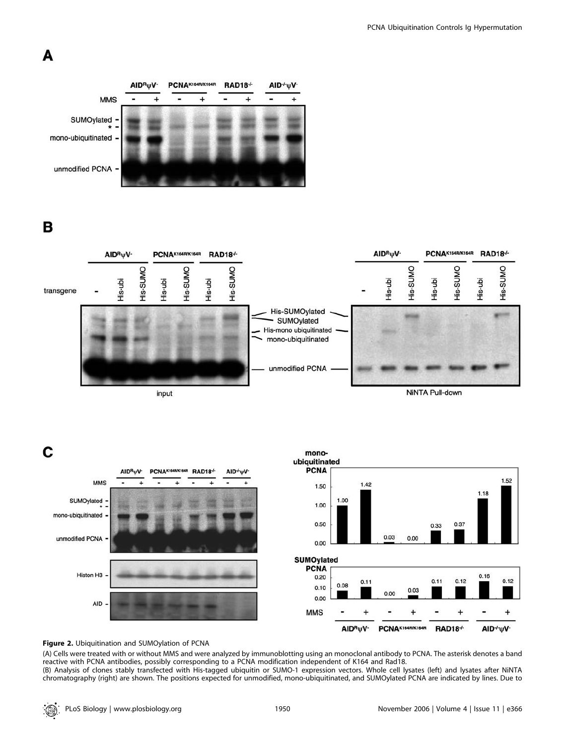# A



B



C



# Figure 2. Ubiquitination and SUMOylation of PCNA

(A) Cells were treated with or without MMS and were analyzed by immunoblotting using an monoclonal antibody to PCNA. The asterisk denotes a band reactive with PCNA antibodies, possibly corresponding to a PCNA modification independent of K164 and Rad18. (B) Analysis of clones stably transfected with His-tagged ubiquitin or SUMO-1 expression vectors. Whole cell lysates (left) and lysates after NiNTA chromatography (right) are shown. The positions expected for unmodified, mono-ubiquitinated, and SUMOylated PCNA are indicated by lines. Due to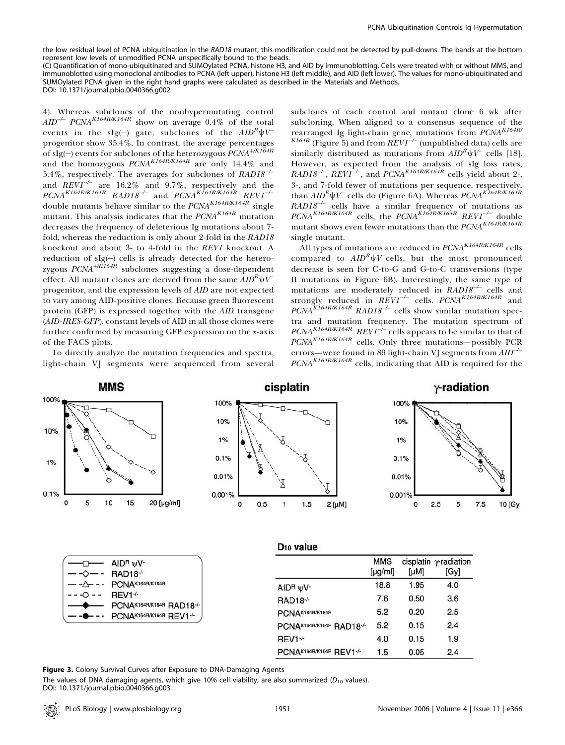the low residual level of PCNA ubiquitination in the RAD18 mutant, this modification could not be detected by pull-downs. The bands at the bottom represent low levels of unmodified PCNA unspecifically bound to the beads.

(C) Quantification of mono-ubiquitinated and SUMOylated PCNA, histone H3, and AID by immunoblotting. Cells were treated with or without MMS, and immunoblotted using monoclonal antibodies to PCNA (left upper), histone H3 (left middle), and AID (left lower). The values for mono-ubiquitinated and SUMOylated PCNA given in the right hand graphs were calculated as described in the Materials and Methods. DOI: 10.1371/journal.pbio.0040366.g002

4). Whereas subclones of the nonhypermutating control  $AID^{-/-}$  PCNA<sup>K164R/K164R</sup> show on average 0.4% of the total events in the sIg(-) gate, subclones of the  $AID^R \Psi V^$ progenitor show 35.4%. In contrast, the average percentages of sIg(-) events for subclones of the heterozygous  $\widetilde{PCNA}^{+\!/KI64R}$ and the homozygous  $PCNA^{K164R/K164R}$  are only 14.4% and 5.4%, respectively. The averages for subclones of  $RAD18^{-/-}$ and  $REVI^{-/-}$  are 16.2% and 9.7%, respectively and the  $PCNA<sup>K164R/K164R</sup>$  RAD18<sup>-/-</sup> and  $PCNA<sup>K164R/K164R</sup>$  REV1<sup>-/-</sup> double mutants behave similar to the  $PCNA^{K164R/K164R}$  single mutant. This analysis indicates that the  $PCNA<sup>K164R</sup>$  mutation decreases the frequency of deleterious Ig mutations about 7 fold, whereas the reduction is only about 2-fold in the RAD18 knockout and about 3- to 4-fold in the REV1 knockout. A reduction of  $slg(-)$  cells is already detected for the heterozygous  $\mathit{PCNA}^{+\mathit{K164R}}$  subclones suggesting a dose-dependent effect. All mutant clones are derived from the same  $AID^R\psi V$ progenitor, and the expression levels of AID are not expected to vary among AID-positive clones. Because green fluorescent protein (GFP) is expressed together with the AID transgene (AID-IRES-GFP), constant levels of AID in all those clones were further confirmed by measuring GFP expression on the x-axis of the FACS plots.

To directly analyze the mutation frequencies and spectra, light-chain VJ segments were sequenced from several

subclones of each control and mutant clone 6 wk after subcloning. When aligned to a consensus sequence of the rearranged Ig light-chain gene, mutations from PCNAK164R/  $K^{164R}$  (Figure 5) and from  $\overline{REVI}^{\rightarrow}$  (unpublished data) cells are similarly distributed as mutations from  $AID^R\psi V^-$  cells [18]. However, as expected from the analysis of sIg loss rates, RAD18<sup>-/</sup>, REV1<sup>-/</sup>, and PCNA<sup>K164R/K164R</sup> cells yield about 2-, 3-, and 7-fold fewer of mutations per sequence, respectively, than  $AID^R \psi V^-$  cells do (Figure 6A). Whereas  $PCNA^{K164R/K164R}$  $RAD18^{-/-}$  cells have a similar frequency of mutations as  $PCNA<sup>K164R/K164R</sup>$  cells, the  $PCNA<sup>K164R/K164R</sup>$  REVI<sup>-/-</sup> double mutant shows even fewer mutations than the  $PCNA^{K164R/K164R}$ single mutant.

All types of mutations are reduced in  $PCNA<sup>K164R/K164R</sup>$  cells compared to  $AID^R \psi V^-$ cells, but the most pronounced decrease is seen for C-to-G and G-to-C transversions (type II mutations in Figure 6B). Interestingly, the same type of mutations are moderately reduced in  $RAD18^{-/-}$  cells and strongly reduced in  $REVI^{-/-}$  cells.  $PCNA^{K164R/K164R}$  and  $PCNA<sup>K164R/K164R</sup>$  RAD18<sup>-/-</sup> cells show similar mutation spectra and mutation frequency. The mutation spectrum of  $PCNA^{K164RK164R}$   $REVI^{\hat{--}}$  cells appears to be similar to that of PCNA<sup>K164R/K164R</sup> cells. Only three mutations-possibly PCR errors—were found in 89 light-chain VJ segments from  $AID^{-/-}$  $PCNA<sup>K164R/K164R</sup>$  cells, indicating that AID is required for the



| — -⊘— - RAD18-⁄-         |                                                 |
|--------------------------|-------------------------------------------------|
| — -∆– - ·                | PCNAK164R/K164R                                 |
| $---O---$                | REV1 <sup>-/-</sup>                             |
| $\overline{\phantom{0}}$ | PCNAK164R/K164R RAD18-/-                        |
|                          | $-$ - $\bullet$ - $\cdot$ PCNAK164R/K164R REV1+ |

|                                 | <b>MMS</b><br>$[\mu g/ml]$ | [µM] | cisplatin γ-radiation<br>[Gy] |
|---------------------------------|----------------------------|------|-------------------------------|
| $AIDR \psi V$                   | 18.8                       | 1.95 | 4.0                           |
| <b>RAD18-/-</b>                 | 7.6                        | 0.50 | 3.6                           |
| PCNAK164R/K164R                 | 5.2                        | 0.20 | 2.5                           |
| PCNAK164R/K164R RAD18-/-        | 5.2                        | 0.15 | 2.4                           |
| REV <sub>1</sub> <sup>-/-</sup> | 4.0                        | 0.15 | 1.9                           |
| PCNAK164R/K164R REV1-/-         | 1.5                        | 0.05 | 2.4                           |

Figure 3. Colony Survival Curves after Exposure to DNA-Damaging Agents

The values of DNA damaging agents, which give 10% cell viability, are also summarized ( $D_{10}$  values). DOI: 10.1371/journal.pbio.0040366.g003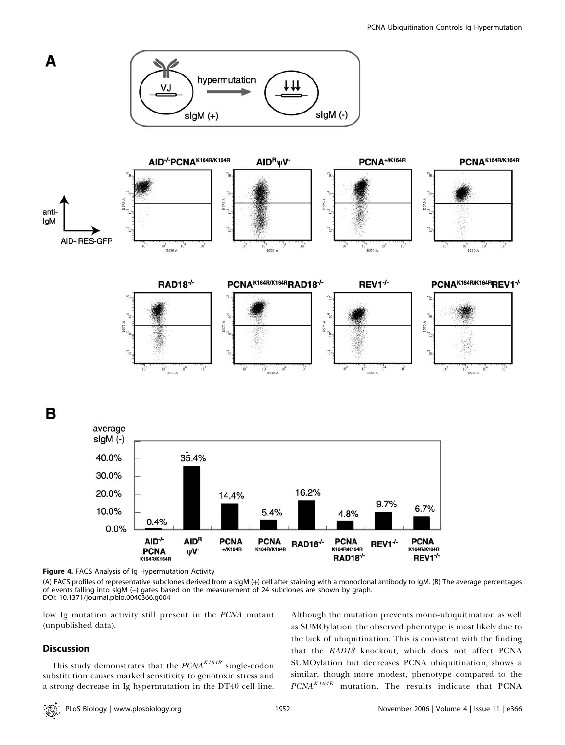

Figure 4. FACS Analysis of Ig Hypermutation Activity

(A) FACS profiles of representative subclones derived from a sIgM (+) cell after staining with a monoclonal antibody to IgM. (B) The average percentages of events falling into sIgM (-) gates based on the measurement of 24 subclones are shown by graph. DOI: 10.1371/journal.pbio.0040366.g004

K164R/K164R

RAD18<sup>-/-</sup>

K164R/K164R

 $+$ /K164R

low Ig mutation activity still present in the PCNA mutant (unpublished data).

**PCNA** 

K164R/K164R

ψV<sup>-</sup>

# Discussion

This study demonstrates that the  $PCNA<sup>K164R</sup>$  single-codon substitution causes marked sensitivity to genotoxic stress and a strong decrease in Ig hypermutation in the DT40 cell line. Although the mutation prevents mono-ubiquitination as well as SUMOylation, the observed phenotype is most likely due to the lack of ubiquitination. This is consistent with the finding that the RAD18 knockout, which does not affect PCNA SUMOylation but decreases PCNA ubiquitination, shows a similar, though more modest, phenotype compared to the  $PCNA<sup>K164R</sup>$  mutation. The results indicate that PCNA

K164R/K164R

REV1<sup>+</sup>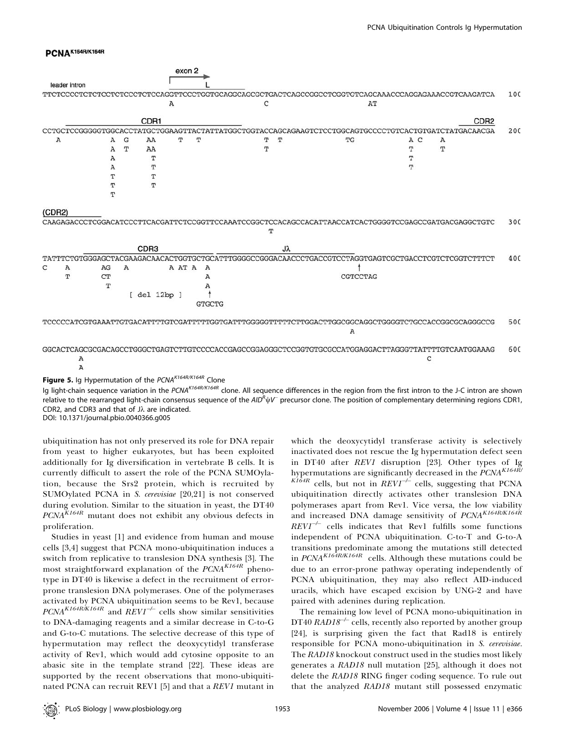# PCNAK164R/K164R

|               |        |        |   |                  |   | exon 2 |                |                                                                                                      |   |    |          |     |   |                  |     |
|---------------|--------|--------|---|------------------|---|--------|----------------|------------------------------------------------------------------------------------------------------|---|----|----------|-----|---|------------------|-----|
| leader intron |        |        |   |                  |   |        |                |                                                                                                      |   |    |          |     |   |                  |     |
|               |        |        |   |                  |   |        |                |                                                                                                      |   |    |          |     |   |                  | 100 |
|               |        |        |   |                  | A |        |                | C                                                                                                    |   |    | AT       |     |   |                  |     |
|               |        |        |   | CDR1             |   |        |                |                                                                                                      |   |    |          |     |   | CDR <sub>2</sub> |     |
|               |        |        |   |                  |   |        |                | CCTGCTCCGGGGGTGGCACCTATGCTGGAAGTTACTATTATGGCTGGTACCAGCAGAAGTCTCCTGGCAGTGCCCCTGTCACTGTGATCTATGACAACGA |   |    |          |     |   |                  | 200 |
|               | A      | A      | G | AA               |   | т      | Т              | т                                                                                                    |   | Т  | TG       | A C | Α |                  |     |
|               |        | A      | T | AA               |   |        |                | т                                                                                                    |   |    |          | т   | T |                  |     |
|               |        | А      |   | т                |   |        |                |                                                                                                      |   |    |          | т   |   |                  |     |
|               |        | А      |   | т                |   |        |                |                                                                                                      |   |    |          | т   |   |                  |     |
|               |        | т      |   | т                |   |        |                |                                                                                                      |   |    |          |     |   |                  |     |
|               |        | т<br>ጥ |   | т                |   |        |                |                                                                                                      |   |    |          |     |   |                  |     |
|               |        |        |   |                  |   |        |                |                                                                                                      |   |    |          |     |   |                  |     |
|               | (CDR2) |        |   |                  |   |        |                |                                                                                                      |   |    |          |     |   |                  |     |
|               |        |        |   |                  |   |        |                | CAAGAGACCCTCGGACATCCCTTCACGATTCTCCGGTTCCAAATCCGGCTCCACAGCCACATTAACCATCACTGGGGTCCGAGCCGATGACGAGGCTGTC |   |    |          |     |   |                  | 300 |
|               |        |        |   |                  |   |        |                |                                                                                                      | т |    |          |     |   |                  |     |
|               |        |        |   | CDR <sub>3</sub> |   |        |                |                                                                                                      |   | Jλ |          |     |   |                  |     |
|               |        |        |   |                  |   |        |                | TATTTCTGTGGGAGCTACGAAGACAACACTGGTGCTGCATTTGGGGCCGGGACAACCCTGACCGTCCTAGGTGAGTCGCTGACCTCGTCTCGGTCTTTCT |   |    |          |     |   |                  | 400 |
| C             | Α      | AG     | Α |                  |   | A AT A | $\overline{A}$ |                                                                                                      |   |    |          |     |   |                  |     |
|               | T      | CT     |   |                  |   |        | Α              |                                                                                                      |   |    | CGTCCTAG |     |   |                  |     |
|               |        | т      |   |                  |   |        | Α              |                                                                                                      |   |    |          |     |   |                  |     |
|               |        |        |   | [ del 12bp ]     |   |        |                |                                                                                                      |   |    |          |     |   |                  |     |
|               |        |        |   |                  |   |        | <b>GTGCTG</b>  |                                                                                                      |   |    |          |     |   |                  |     |
|               |        |        |   |                  |   |        |                | TCCCCCATCGTGAAATTGTGACATTTTGTCGATTTTTGGTGATTTGGGGGTTTTTCTTGGACTTGGCGGCAGGCTGGGGTCTGCCACCGGCGCAGGGCCG |   |    | А        |     |   |                  | 500 |
|               |        |        |   |                  |   |        |                |                                                                                                      |   |    |          |     |   |                  |     |
|               |        |        |   |                  |   |        |                | GGCACTCAGCGCGACAGCCTGGGCTGAGTCTTGTCCCCACCGAGCCGGAGGGCTCCGGTGTGCGCCATGGAGGACTTAGGGTTATTTTGTCAATGGAAAG |   |    |          |     |   |                  | 600 |
|               | Α      |        |   |                  |   |        |                |                                                                                                      |   |    |          | C   |   |                  |     |
|               | А      |        |   |                  |   |        |                |                                                                                                      |   |    |          |     |   |                  |     |

Figure 5. Ig Hypermutation of the PCNAK164R/K164R Clone

Ig light-chain sequence variation in the PCNA<sup>K164R/K164R</sup> clone. All sequence differences in the region from the first intron to the J-C intron are shown relative to the rearranged light-chain consensus sequence of the AID<sup>R</sup> $\psi$ V<sup>-</sup> precursor clone. The position of complementary determining regions CDR1, CDR2, and CDR3 and that of Jk are indicated.

DOI: 10.1371/journal.pbio.0040366.g005

ubiquitination has not only preserved its role for DNA repair from yeast to higher eukaryotes, but has been exploited additionally for Ig diversification in vertebrate B cells. It is currently difficult to assert the role of the PCNA SUMOylation, because the Srs2 protein, which is recruited by SUMOylated PCNA in S. cerevisiae [20,21] is not conserved during evolution. Similar to the situation in yeast, the DT40  $PCNA<sup>K164R</sup>$  mutant does not exhibit any obvious defects in proliferation.

Studies in yeast [1] and evidence from human and mouse cells [3,4] suggest that PCNA mono-ubiquitination induces a switch from replicative to translesion DNA synthesis [3]. The most straightforward explanation of the  $PCNA<sup>K164R</sup>$  phenotype in DT40 is likewise a defect in the recruitment of errorprone translesion DNA polymerases. One of the polymerases activated by PCNA ubiquitination seems to be Rev1, because  $PCNA<sup>K164R/K164R</sup>$  and  $RFVI<sup>–/–</sup>$  cells show similar sensitivities to DNA-damaging reagents and a similar decrease in C-to-G and G-to-C mutations. The selective decrease of this type of hypermutation may reflect the deoxycytidyl transferase activity of Rev1, which would add cytosine opposite to an abasic site in the template strand [22]. These ideas are supported by the recent observations that mono-ubiquitinated PCNA can recruit REV1 [5] and that a REV1 mutant in

which the deoxycytidyl transferase activity is selectively inactivated does not rescue the Ig hypermutation defect seen in DT40 after REV1 disruption [23]. Other types of Ig hypermutations are significantly decreased in the  $\it{PCNA}^{\it K164R}$  $\frac{KI\hat{6}4R}{KI\hat{6}4R}$  cells, but not in  $REVI^{-\hat{+}}$  cells, suggesting that PCNA ubiquitination directly activates other translesion DNA polymerases apart from Rev1. Vice versa, the low viability and increased DNA damage sensitivity of PCNAK164R/K164R  $REVI^{-/-}$  cells indicates that Rev1 fulfills some functions independent of PCNA ubiquitination. C-to-T and G-to-A transitions predominate among the mutations still detected in  $PCNA^{K164R/K164R}$  cells. Although these mutations could be due to an error-prone pathway operating independently of PCNA ubiquitination, they may also reflect AID-induced uracils, which have escaped excision by UNG-2 and have paired with adenines during replication.

The remaining low level of PCNA mono-ubiquitination in  $DT40$  RAD18<sup>-/-</sup> cells, recently also reported by another group [24], is surprising given the fact that Rad18 is entirely responsible for PCNA mono-ubiquitination in S. cerevisiae. The RAD18 knockout construct used in the studies most likely generates a RAD18 null mutation [25], although it does not delete the RAD18 RING finger coding sequence. To rule out that the analyzed RAD18 mutant still possessed enzymatic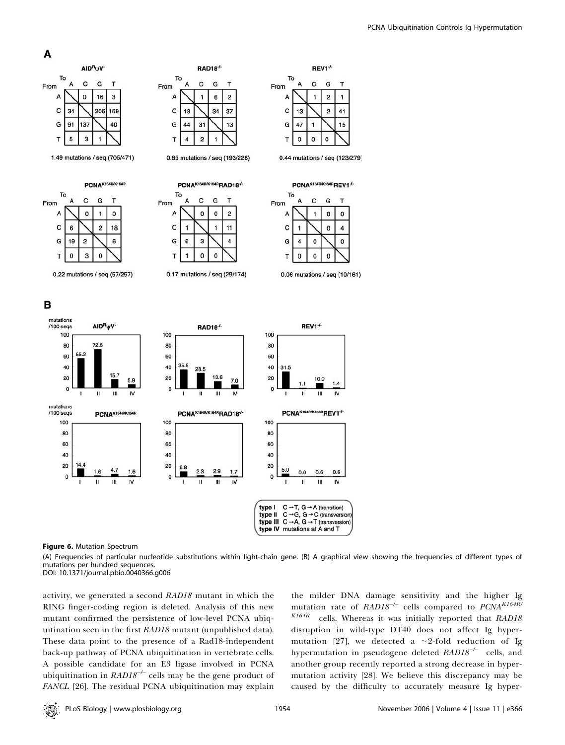









в



RAD18<sup>+</sup>



0.44 mutations / seq (123/279)



0.06 mutations / seq (10/161)



Figure 6. Mutation Spectrum

(A) Frequencies of particular nucleotide substitutions within light-chain gene. (B) A graphical view showing the frequencies of different types of mutations per hundred sequences.

DOI: 10.1371/journal.pbio.0040366.g006

activity, we generated a second RAD18 mutant in which the RING finger-coding region is deleted. Analysis of this new mutant confirmed the persistence of low-level PCNA ubiquitination seen in the first RAD18 mutant (unpublished data). These data point to the presence of a Rad18-independent back-up pathway of PCNA ubiquitination in vertebrate cells. A possible candidate for an E3 ligase involved in PCNA ubiquitination in  $RAD18^{-/-}$  cells may be the gene product of FANCL [26]. The residual PCNA ubiquitination may explain

the milder DNA damage sensitivity and the higher Ig mutation rate of  $RAD18^{-/-}$  cells compared to  $PCNA^{K164R/-}$  $K164R$  cells. Whereas it was initially reported that  $RAD18$ disruption in wild-type DT40 does not affect Ig hypermutation [27], we detected a  $\sim$ 2-fold reduction of Ig hypermutation in pseudogene deleted  $RAD18^{-/-}$  cells, and another group recently reported a strong decrease in hypermutation activity [28]. We believe this discrepancy may be caused by the difficulty to accurately measure Ig hyper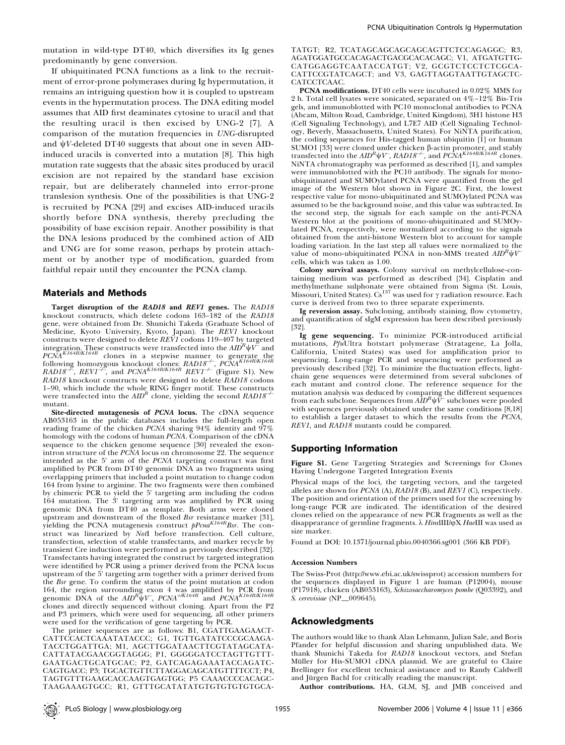mutation in wild-type DT40, which diversifies its Ig genes predominantly by gene conversion.

If ubiquitinated PCNA functions as a link to the recruitment of error-prone polymerases during Ig hypermutation, it remains an intriguing question how it is coupled to upstream events in the hypermutation process. The DNA editing model assumes that AID first deaminates cytosine to uracil and that the resulting uracil is then excised by UNG-2 [7]. A comparison of the mutation frequencies in UNG-disrupted and  $\psi V$ -deleted DT40 suggests that about one in seven AIDinduced uracils is converted into a mutation [8]. This high mutation rate suggests that the abasic sites produced by uracil excision are not repaired by the standard base excision repair, but are deliberately channeled into error-prone translesion synthesis. One of the possibilities is that UNG-2 is recruited by PCNA [29] and excises AID-induced uracils shortly before DNA synthesis, thereby precluding the possibility of base excision repair. Another possibility is that the DNA lesions produced by the combined action of AID and UNG are for some reason, perhaps by protein attachment or by another type of modification, guarded from faithful repair until they encounter the PCNA clamp.

#### Materials and Methods

Target disruption of the RAD18 and REV1 genes. The RAD18 knockout constructs, which delete codons 163–182 of the RAD18 gene, were obtained from Dr. Shunichi Takeda (Graduate School of Medicine, Kyoto University, Kyoto, Japan). The REV1 knockout constructs were designed to delete REV1 codons 119–407 by targeted integration. These constructs were transfected into the  $\mathit{AID}^R\psi\mathcal{V}^\Xi$  and  $PCNA<sup>K164R/K164R</sup>$  clones in a stepwise manner to generate the following homozygous knockout clones:  $RAD18^{-}$ ,  $P\overset{\sim}{C}NA^{K164R/K164R}$  $RAD18^{-P}$ ,  $REV1^{-P}$ , and  $PCNA<sup>K164R/K164R</sup> REV1^{-P}$  (Figure S1). New RAD18 knockout constructs were designed to delete RAD18 codons 1–90, which include the whole RING finger motif. These constructs were transfected into the  $AID^R$  clone, yielding the second  $RADI8^{-\prime-}$ mutant.

Site-directed mutagenesis of PCNA locus. The cDNA sequence AB053163 in the public databases includes the full-length open reading frame of the chicken  $PCNA$  sharing  $94\%$  identity and  $97\%$ homology with the codons of human PCNA. Comparison of the cDNA sequence to the chicken genome sequence [30] revealed the exonintron structure of the PCNA locus on chromosome 22. The sequence intended as the 5' arm of the PCNA targeting construct was first amplified by PCR from DT40 genomic DNA as two fragments using overlapping primers that included a point mutation to change codon 164 from lysine to arginine. The two fragments were then combined by chimeric PCR to yield the 5' targeting arm including the codon 164 mutation. The 3' targeting arm was amplified by PCR using genomic DNA from DT40 as template. Both arms were cloned upstream and downstream of the floxed  $Bsr$  resistance marker [31], yielding the PCNA mutagenesis construct  $pPcna^{K164R}Bsr$ . The construct was linearized by NotI before transfection. Cell culture, transfection, selection of stable transfectants, and marker recycle by transient Cre induction were performed as previously described [32]. Transfectants having integrated the construct by targeted integration were identified by PCR using a primer derived from the PCNA locus upstream of the 5' targeting arm together with a primer derived from the Bsr gene. To confirm the status of the point mutation at codon 164, the region surrounding exon 4 was amplified by PCR from<br>genomic DNA of the  $AID^R\psi V^-, ~PCNA^{+/KAR}$  and  $PCNA^{K164R/K164R}$ clones and directly sequenced without cloning. Apart from the P2 and P3 primers, which were used for sequencing, all other primers were used for the verification of gene targeting by PCR.

The primer sequences are as follows: B1, CGATTGAAGAACT-CATTCCACTCAAATATACCC; G1, TGTTGATATCCCGCAAGA-TACCTGGATTGA; M1, AGCTTGGATAACTTCGTATAGCATA-CATTATACGAACGGTAGGG; P1, GGGGGATCCTAGTTGTTT-GAATGACTGCATGCAC; P2, GATCAGAGAAATACCAGATC-CAGTGACC; P3; TGCACTGTTCTTAGGACAGCATGTTTTCCT; P4, TAGTGTTTGAAGCACCAAGTGAGTGG; P5 CAAACCCCACAGC-TAAGAAAGTGCC; R1, GTTTGCATATATGTGTGTGTGTGCA-

TATGT; R2, TCATAGCAGCAGCAGCAGTTCTCCAGAGGC; R3, AGATGGATGCCACAGACTGACGCACACAGC; V1, ATGATGTTG-CATGGAGGTCAATACCATGT; V2, GCGTCTCCTCTCGCA-CATTCCGTATCAGCT; and V3, GAGTTAGGTAATTGTAGCTC-CATCCTCAAC.

**PCNA modifications.** DT40 cells were incubated in 0.02% MMS for 2 h. Total cell lysates were sonicated, separated on 4%–12% Bis-Tris gels, and immunoblotted with PC10 monoclonal antibodies to PCNA (Abcam, Milton Road, Cambridge, United Kingdom), 3H1 histone H3 (Cell Signaling Technology), and L7E7 AID (Cell Signaling Technology, Beverly, Massachusetts, United States). For NiNTA purification, the coding sequences for His-tagged human ubiquitin [1] or human SUMO1 [33] were cloned under chicken β-actin promoter, and stably transfected into the  $AID^R$ ψ $V^-, RADI8^{++}$ , and  $PCNA^{K164R/K164R}$  clones. NiNTA chromatography was performed as described [1], and samples were immunoblotted with the PC10 antibody. The signals for monoubiquitinated and SUMOylated PCNA were quantified from the gel image of the Western blot shown in Figure 2C. First, the lowest respective value for mono-ubiquitinated and SUMOylated PCNA was assumed to be the background noise, and this value was subtracted. In the second step, the signals for each sample on the anti-PCNA Western blot at the positions of mono-ubiquitinated and SUMOylated PCNA, respectively, were normalized according to the signals obtained from the anti-histone Western blot to account for sample loading variation. In the last step all values were normalized to the value of mono-ubiquitinated PCNA in non-MMS treated  $AID^R \psi V^$ cells, which was taken as 1.00.

Colony survival assays. Colony survival on methylcellulose-containing medium was performed as described [34]. Cisplatin and methylmethane sulphonate were obtained from Sigma (St. Louis,<br>Missouri, United States). Cs<sup>137</sup> was used for γ radiation resource. Each curve is derived from two to three separate experiments.

Ig reversion assay. Subcloning, antibody staining, flow cytometry, and quantification of sIgM expression has been described previously [32].

Ig gene sequencing. To minimize PCR-introduced artificial mutations, PfuUltra hotstart polymerase (Stratagene, La Jolla, California, United States) was used for amplification prior to sequencing. Long-range PCR and sequencing were performed as previously described [32]. To minimize the fluctuation effects, lightchain gene sequences were determined from several subclones of each mutant and control clone. The reference sequence for the mutation analysis was deduced by comparing the different sequences<br>from each subclone. Sequences from  $A\bar{I\!D}^R\psi V^-$  subclones were pooled with sequences previously obtained under the same conditions [8,18] to establish a larger dataset to which the results from the PCNA, REV1, and RAD18 mutants could be compared.

### Supporting Information

Figure S1. Gene Targeting Strategies and Screenings for Clones Having Undergone Targeted Integration Events

Physical maps of the loci, the targeting vectors, and the targeted alleles are shown for PCNA (A), RAD18 (B), and REV1 (C), respectively. The position and orientation of the primers used for the screening by long-range PCR are indicated. The identification of the desired clones relied on the appearance of new PCR fragments as well as the disappearance of germline fragments.  $\lambda$  HindIII/ $\varphi X$  HaeIII was used as size marker.

Found at DOI: 10.1371/journal.pbio.0040366.sg001 (366 KB PDF).

#### Accession Numbers

The Swiss-Prot (http://www.ebi.ac.uk/swissprot) accession numbers for the sequences displayed in Figure 1 are human (P12004), mouse (P17918), chicken (AB053163), Schizosaccharomyces pombe (Q03392), and S. cerevisiae (NP\_009645).

### Acknowledgments

The authors would like to thank Alan Lehmann, Julian Sale, and Boris Pfander for helpful discussion and sharing unpublished data. We thank Shunichi Takeda for RAD18 knockout vectors, and Stefan Müller for His-SUMO1 cDNA plasmid. We are grateful to Claire Brellinger for excellent technical assistance and to Randy Caldwell and Jürgen Bachl for critically reading the manuscript.

Author contributions. HA, GLM, SJ, and JMB conceived and